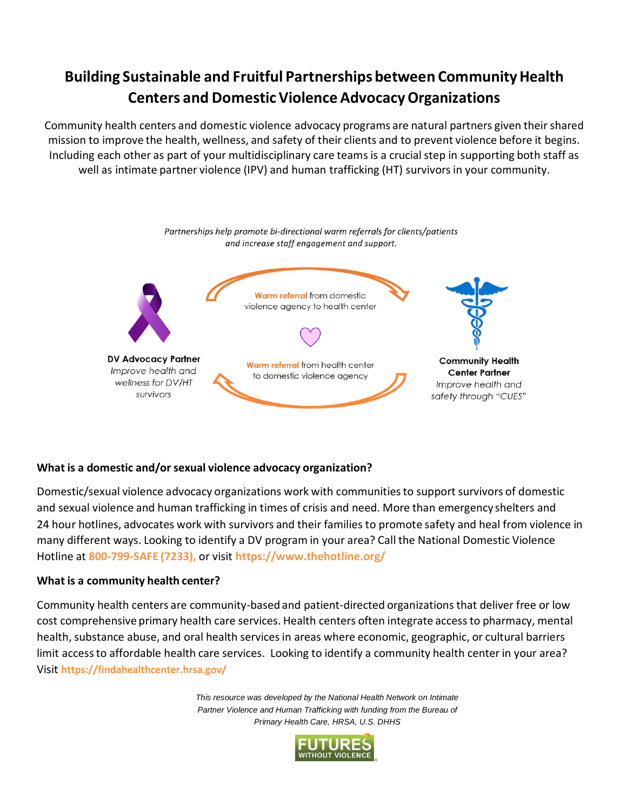# **Building Sustainable and Fruitful Partnerships between CommunityHealth Centers and Domestic Violence AdvocacyOrganizations**

Community health centers and domestic violence advocacy programs are natural partners given their shared mission to improve the health, wellness, and safety of their clients and to prevent violence before it begins. Including each other as part of your multidisciplinary care teams is a crucial step in supporting both staff as well as intimate partner violence (IPV) and human trafficking (HT) survivorsin your community.



## **What is a domestic and/or sexual violence advocacy organization?**

Domestic/sexual violence advocacy organizations work with communitiesto support survivors of domestic and sexual violence and human trafficking in times of crisis and need. More than emergency shelters and 24 hour hotlines, advocates work with survivors and their families to promote safety and heal from violence in many different ways. Looking to identify a DV program in your area? Call the National Domestic Violence Hotline at **800-799-SAFE (7233),** or visit **https:/[/www.thehotline.org/](http://www.thehotline.org/)**

### **What is a community health center?**

Community health centers are community-based and [patient-directed](http://www.bphc.hrsa.gov/programrequirements/summary.html#GOVERNANCE2) organizationsthat deliver free or low cost comprehensive primary health care services. Health centers often integrate accessto pharmacy, mental health, substance abuse, and oral health services in areas where economic, geographic, or cultural barriers limit access to affordable health care services. Looking to identify a community health center in your area? Visit **<https://findahealthcenter.hrsa.gov/>**

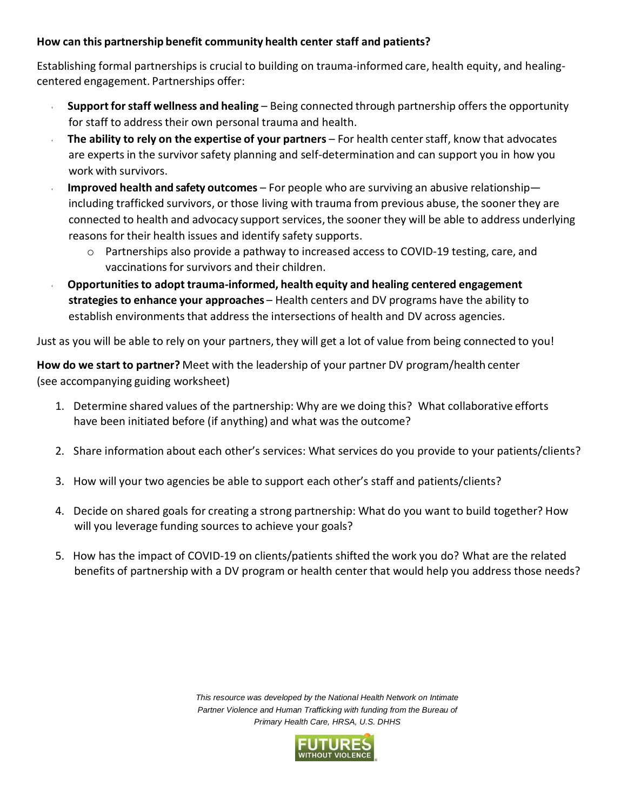### **How can this partnership benefit community health center staff and patients?**

Establishing formal partnerships is crucial to building on trauma-informed care, health equity, and healingcentered engagement. Partnerships offer:

- **Supportforstaff wellness and healing** Being connected through partnership offers the opportunity for staff to address their own personal trauma and health.
- **The ability to rely on the expertise of your partners** For health centerstaff, know that advocates are experts in the survivor safety planning and self-determination and can support you in how you work with survivors.
- **Improved health and safety outcomes** For people who are surviving an abusive relationship including trafficked survivors, or those living with trauma from previous abuse, the sooner they are connected to health and advocacy support services, the sooner they will be able to address underlying reasons for their health issues and identify safety supports.
	- o Partnerships also provide a pathway to increased access to COVID-19 testing, care, and vaccinations for survivors and their children.
- **Opportunitiesto adopt trauma-informed, health equity and healing centered engagement strategies to enhance your approaches** – Health centers and DV programs have the ability to establish environments that address the intersections of health and DV across agencies.

Just as you will be able to rely on your partners, they will get a lot of value from being connected to you!

**How do we start to partner?** Meet with the leadership of your partner DV program/health center (see accompanying guiding worksheet)

- 1. Determine shared values of the partnership: Why are we doing this? What collaborative efforts have been initiated before (if anything) and what was the outcome?
- 2. Share information about each other's services: What services do you provide to your patients/clients?
- 3. How will your two agencies be able to support each other's staff and patients/clients?
- 4. Decide on shared goals for creating a strong partnership: What do you want to build together? How will you leverage funding sources to achieve your goals?
- 5. How has the impact of COVID-19 on clients/patients shifted the work you do? What are the related benefits of partnership with a DV program or health center that would help you address those needs?

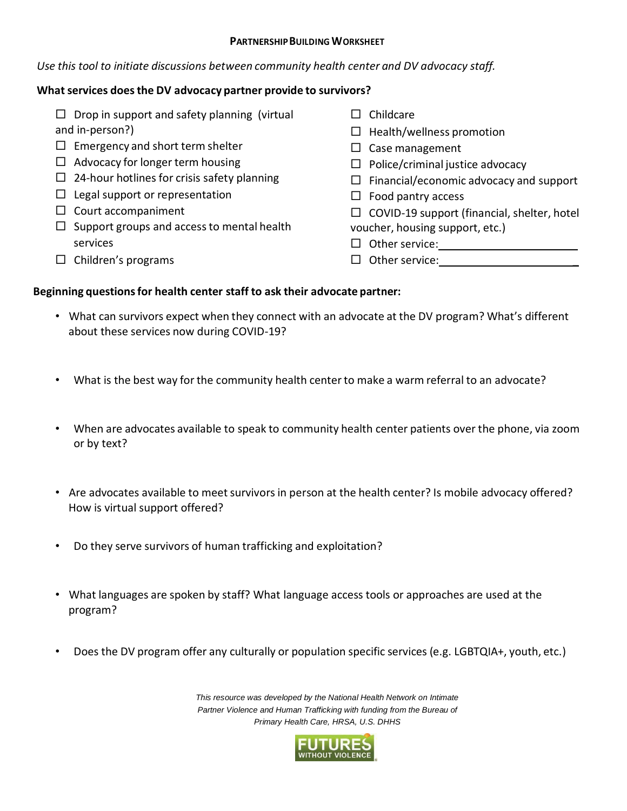#### **PARTNERSHIPBUILDING WORKSHEET**

#### *Use this tool to initiate discussions between community health center and DV advocacy staff.*

## **Whatservices doesthe DV advocacy partner provide to survivors?**

 $\Box$  Drop in support and safety planning (virtual and in-person?)  $\Box$  Emergency and short term shelter  $\Box$  Advocacy for longer term housing  $\Box$  24-hour hotlines for crisis safety planning  $\Box$  Legal support or representation  $\square$  Court accompaniment  $\Box$  Support groups and access to mental health services  $\Box$  Children's programs  $\Box$  Childcare  $\Box$  Health/wellness promotion  $\Box$  Case management  $\Box$  Police/criminal justice advocacy  $\Box$  Financial/economic advocacy and support  $\Box$  Food pantry access  $\Box$  COVID-19 support (financial, shelter, hotel voucher, housing support, etc.)  $\Box$  Other service: Other service: \_

#### **Beginning questionsfor health center staff to ask their advocate partner:**

- What can survivors expect when they connect with an advocate at the DV program? What's different about these services now during COVID-19?
- What is the best way for the community health center to make a warm referral to an advocate?
- When are advocates available to speak to community health center patients over the phone, via zoom or by text?
- Are advocates available to meet survivors in person at the health center? Is mobile advocacy offered? How is virtual support offered?
- Do they serve survivors of human trafficking and exploitation?
- What languages are spoken by staff? What language access tools or approaches are used at the program?
- Does the DV program offer any culturally or population specific services (e.g. LGBTQIA+, youth, etc.)

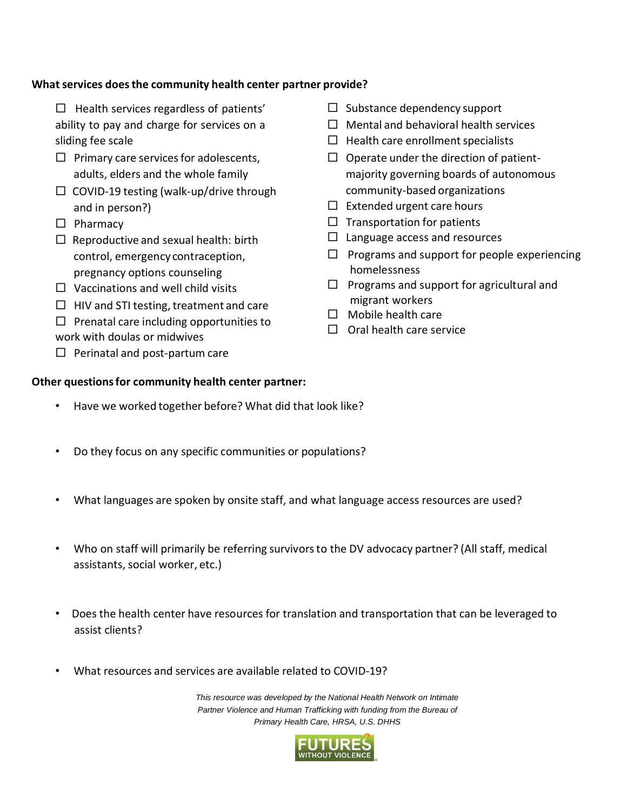### **Whatservices doesthe community health center partner provide?**

- $\Box$  Health services regardless of patients' ability to pay and charge for services on a sliding fee scale
- $\Box$  Primary care services for adolescents, adults, elders and the whole family
- $\square$  COVID-19 testing (walk-up/drive through and in person?)
- $\square$  Pharmacy
- $\Box$  Reproductive and sexual health: birth control, emergency contraception, pregnancy options counseling
- $\Box$  Vaccinations and well child visits
- $\Box$  HIV and STI testing, treatment and care
- $\Box$  Prenatal care including opportunities to
- work with doulas or midwives
- $\Box$  Perinatal and post-partum care

### **Other questionsfor community health center partner:**

- Have we worked together before? What did that look like?
- Do they focus on any specific communities or populations?
- What languages are spoken by onsite staff, and what language access resources are used?
- Who on staff will primarily be referring survivorsto the DV advocacy partner? (All staff, medical assistants, social worker, etc.)
- Does the health center have resources for translation and transportation that can be leveraged to assist clients?
- What resources and services are available related to COVID-19?



- $\Box$  Substance dependency support
- $\Box$  Mental and behavioral health services
- $\Box$  Health care enrollment specialists
- $\Box$  Operate under the direction of patientmajority governing boards of autonomous community-based organizations
- $\Box$  Extended urgent care hours
- $\Box$  Transportation for patients
- $\Box$  Language access and resources
- $\Box$  Programs and support for people experiencing homelessness
- $\Box$  Programs and support for agricultural and migrant workers
- $\Box$  Mobile health care
- $\Box$  Oral health care service